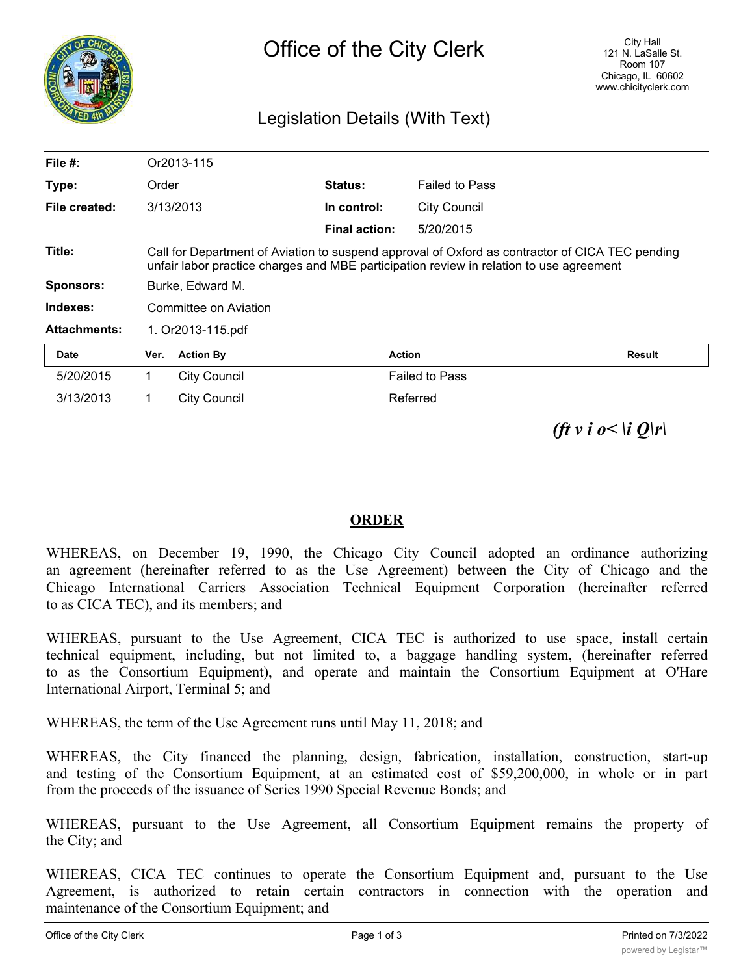

## Legislation Details (With Text)

| File $#$ :          |                                                                                                                                                                                            | Or2013-115          |                      |                       |               |
|---------------------|--------------------------------------------------------------------------------------------------------------------------------------------------------------------------------------------|---------------------|----------------------|-----------------------|---------------|
| Type:               | Order                                                                                                                                                                                      |                     | <b>Status:</b>       | <b>Failed to Pass</b> |               |
| File created:       | 3/13/2013                                                                                                                                                                                  |                     | In control:          | <b>City Council</b>   |               |
|                     |                                                                                                                                                                                            |                     | <b>Final action:</b> | 5/20/2015             |               |
| Title:              | Call for Department of Aviation to suspend approval of Oxford as contractor of CICA TEC pending<br>unfair labor practice charges and MBE participation review in relation to use agreement |                     |                      |                       |               |
| <b>Sponsors:</b>    | Burke, Edward M.                                                                                                                                                                           |                     |                      |                       |               |
| Indexes:            | Committee on Aviation                                                                                                                                                                      |                     |                      |                       |               |
| <b>Attachments:</b> | 1. Or2013-115.pdf                                                                                                                                                                          |                     |                      |                       |               |
| <b>Date</b>         | Ver.                                                                                                                                                                                       | <b>Action By</b>    | <b>Action</b>        |                       | <b>Result</b> |
| 5/20/2015           | 1                                                                                                                                                                                          | <b>City Council</b> |                      | <b>Failed to Pass</b> |               |
| 3/13/2013           | 1                                                                                                                                                                                          | <b>City Council</b> |                      | Referred              |               |

*(ft v i o < \i O\r\* 

## **ORDER**

WHEREAS, on December 19, 1990, the Chicago City Council adopted an ordinance authorizing an agreement (hereinafter referred to as the Use Agreement) between the City of Chicago and the Chicago International Carriers Association Technical Equipment Corporation (hereinafter referred to as CICA TEC), and its members; and

WHEREAS, pursuant to the Use Agreement, CICA TEC is authorized to use space, install certain technical equipment, including, but not limited to, a baggage handling system, (hereinafter referred to as the Consortium Equipment), and operate and maintain the Consortium Equipment at O'Hare International Airport, Terminal 5; and

WHEREAS, the term of the Use Agreement runs until May 11, 2018; and

WHEREAS, the City financed the planning, design, fabrication, installation, construction, start-up and testing of the Consortium Equipment, at an estimated cost of \$59,200,000, in whole or in part from the proceeds of the issuance of Series 1990 Special Revenue Bonds; and

WHEREAS, pursuant to the Use Agreement, all Consortium Equipment remains the property of the City; and

WHEREAS, CICA TEC continues to operate the Consortium Equipment and, pursuant to the Use Agreement, is authorized to retain certain contractors in connection with the operation and maintenance of the Consortium Equipment; and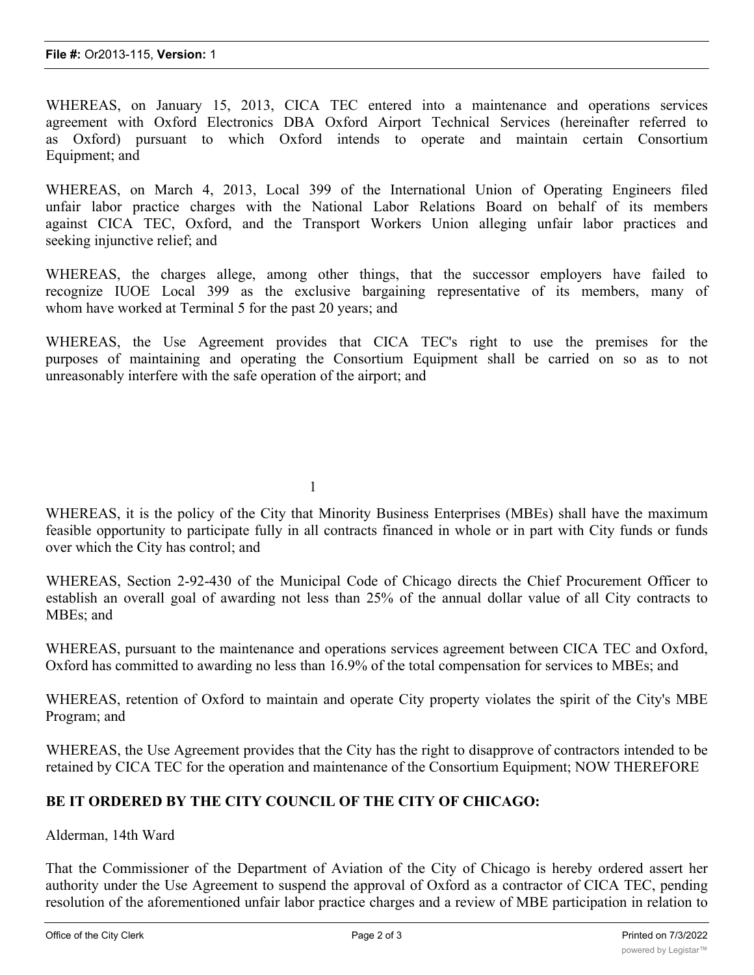WHEREAS, on January 15, 2013, CICA TEC entered into a maintenance and operations services agreement with Oxford Electronics DBA Oxford Airport Technical Services (hereinafter referred to as Oxford) pursuant to which Oxford intends to operate and maintain certain Consortium Equipment; and

WHEREAS, on March 4, 2013, Local 399 of the International Union of Operating Engineers filed unfair labor practice charges with the National Labor Relations Board on behalf of its members against CICA TEC, Oxford, and the Transport Workers Union alleging unfair labor practices and seeking injunctive relief; and

WHEREAS, the charges allege, among other things, that the successor employers have failed to recognize IUOE Local 399 as the exclusive bargaining representative of its members, many of whom have worked at Terminal 5 for the past 20 years; and

WHEREAS, the Use Agreement provides that CICA TEC's right to use the premises for the purposes of maintaining and operating the Consortium Equipment shall be carried on so as to not unreasonably interfere with the safe operation of the airport; and

1

WHEREAS, it is the policy of the City that Minority Business Enterprises (MBEs) shall have the maximum feasible opportunity to participate fully in all contracts financed in whole or in part with City funds or funds over which the City has control; and

WHEREAS, Section 2-92-430 of the Municipal Code of Chicago directs the Chief Procurement Officer to establish an overall goal of awarding not less than 25% of the annual dollar value of all City contracts to MBEs; and

WHEREAS, pursuant to the maintenance and operations services agreement between CICA TEC and Oxford, Oxford has committed to awarding no less than 16.9% of the total compensation for services to MBEs; and

WHEREAS, retention of Oxford to maintain and operate City property violates the spirit of the City's MBE Program; and

WHEREAS, the Use Agreement provides that the City has the right to disapprove of contractors intended to be retained by CICA TEC for the operation and maintenance of the Consortium Equipment; NOW THEREFORE

## **BE IT ORDERED BY THE CITY COUNCIL OF THE CITY OF CHICAGO:**

Alderman, 14th Ward

That the Commissioner of the Department of Aviation of the City of Chicago is hereby ordered assert her authority under the Use Agreement to suspend the approval of Oxford as a contractor of CICA TEC, pending resolution of the aforementioned unfair labor practice charges and a review of MBE participation in relation to